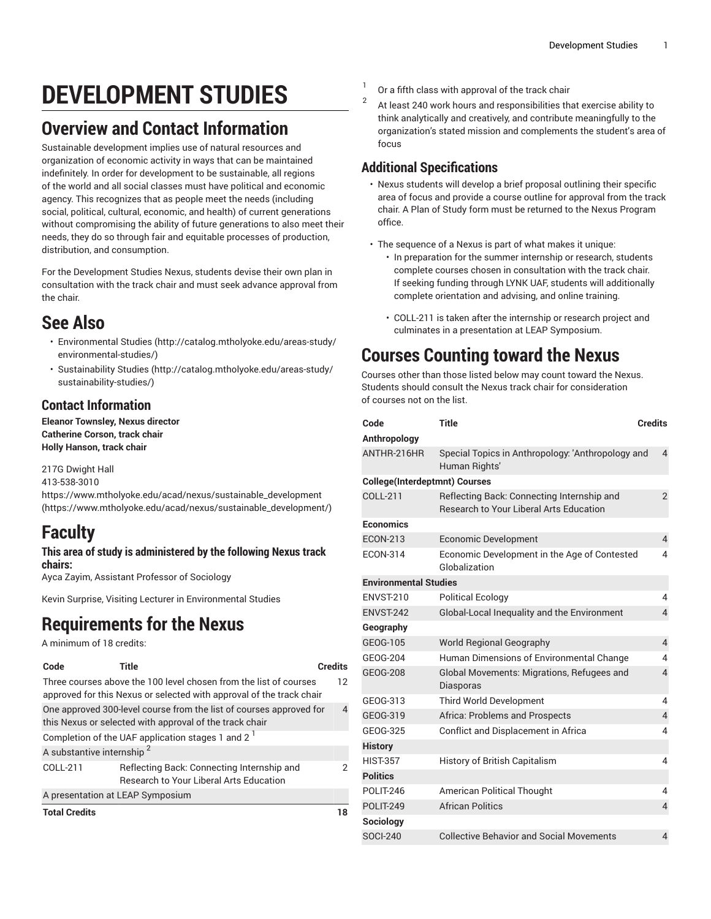# **DEVELOPMENT STUDIES**

## **Overview and Contact Information**

Sustainable development implies use of natural resources and organization of economic activity in ways that can be maintained indefinitely. In order for development to be sustainable, all regions of the world and all social classes must have political and economic agency. This recognizes that as people meet the needs (including social, political, cultural, economic, and health) of current generations without compromising the ability of future generations to also meet their needs, they do so through fair and equitable processes of production, distribution, and consumption.

For the Development Studies Nexus, students devise their own plan in consultation with the track chair and must seek advance approval from the chair.

### **See Also**

- [Environmental](http://catalog.mtholyoke.edu/areas-study/environmental-studies/) Studies ([http://catalog.mtholyoke.edu/areas-study/](http://catalog.mtholyoke.edu/areas-study/environmental-studies/) [environmental-studies/](http://catalog.mtholyoke.edu/areas-study/environmental-studies/))
- [Sustainability Studies](http://catalog.mtholyoke.edu/areas-study/sustainability-studies/) ([http://catalog.mtholyoke.edu/areas-study/](http://catalog.mtholyoke.edu/areas-study/sustainability-studies/) [sustainability-studies/](http://catalog.mtholyoke.edu/areas-study/sustainability-studies/))

### **Contact Information**

**Eleanor Townsley, Nexus director Catherine Corson, track chair Holly Hanson, track chair**

217G Dwight Hall 413-538-3010 [https://www.mtholyoke.edu/acad/nexus/sustainable\\_development](https://www.mtholyoke.edu/acad/nexus/sustainable_development/) ([https://www.mtholyoke.edu/acad/nexus/sustainable\\_development/](https://www.mtholyoke.edu/acad/nexus/sustainable_development/))

## **Faculty**

#### **This area of study is administered by the following Nexus track chairs:**

Ayca Zayim, Assistant Professor of Sociology

Kevin Surprise, Visiting Lecturer in Environmental Studies

### **Requirements for the Nexus**

A minimum of 18 credits:

| Code                                                                                                                                      | Title                                                                                        | Credits |  |
|-------------------------------------------------------------------------------------------------------------------------------------------|----------------------------------------------------------------------------------------------|---------|--|
| Three courses above the 100 level chosen from the list of courses<br>approved for this Nexus or selected with approval of the track chair |                                                                                              |         |  |
| One approved 300-level course from the list of courses approved for<br>this Nexus or selected with approval of the track chair            |                                                                                              |         |  |
| Completion of the UAF application stages 1 and 2 <sup>1</sup>                                                                             |                                                                                              |         |  |
| A substantive internship <sup>2</sup>                                                                                                     |                                                                                              |         |  |
| COLL-211                                                                                                                                  | Reflecting Back: Connecting Internship and<br><b>Research to Your Liberal Arts Education</b> | 2       |  |
| A presentation at LEAP Symposium                                                                                                          |                                                                                              |         |  |
| <b>Total Credits</b>                                                                                                                      |                                                                                              | 18      |  |

- 1 Or a fifth class with approval of the track chair  $\overline{2}$ 
	- At least 240 work hours and responsibilities that exercise ability to think analytically and creatively, and contribute meaningfully to the organization's stated mission and complements the student's area of focus

### **Additional Specifications**

- Nexus students will develop a brief proposal outlining their specific area of focus and provide a course outline for approval from the track chair. A Plan of Study form must be returned to the Nexus Program office.
- The sequence of a Nexus is part of what makes it unique:
	- In preparation for the summer internship or research, students complete courses chosen in consultation with the track chair. If seeking funding through LYNK UAF, students will additionally complete orientation and advising, and online training.
	- COLL-211 is taken after the internship or research project and culminates in a presentation at LEAP Symposium.

# **Courses Counting toward the Nexus**

Courses other than those listed below may count toward the Nexus. Students should consult the Nexus track chair for consideration of courses not on the list.

| Code                                 | <b>Title</b>                                                                                 | <b>Credits</b>           |  |
|--------------------------------------|----------------------------------------------------------------------------------------------|--------------------------|--|
| Anthropology                         |                                                                                              |                          |  |
| ANTHR-216HR                          | Special Topics in Anthropology: 'Anthropology and<br>Human Rights'                           | $\overline{4}$           |  |
| <b>College(Interdeptmnt) Courses</b> |                                                                                              |                          |  |
| COLL-211                             | Reflecting Back: Connecting Internship and<br><b>Research to Your Liberal Arts Education</b> | $\overline{2}$           |  |
| <b>Economics</b>                     |                                                                                              |                          |  |
| <b>ECON-213</b>                      | <b>Economic Development</b>                                                                  | 4                        |  |
| <b>ECON-314</b>                      | Economic Development in the Age of Contested<br>Globalization                                | 4                        |  |
| <b>Environmental Studies</b>         |                                                                                              |                          |  |
| <b>FNVST-210</b>                     | <b>Political Ecology</b>                                                                     | 4                        |  |
| ENVST-242                            | Global-Local Inequality and the Environment                                                  | $\overline{\mathcal{L}}$ |  |
| Geography                            |                                                                                              |                          |  |
| GEOG-105                             | <b>World Regional Geography</b>                                                              | $\overline{4}$           |  |
| GEOG-204                             | Human Dimensions of Environmental Change                                                     | 4                        |  |
| <b>GEOG-208</b>                      | Global Movements: Migrations, Refugees and<br>Diasporas                                      | 4                        |  |
| GEOG-313                             | Third World Development                                                                      | 4                        |  |
| GEOG-319                             | Africa: Problems and Prospects                                                               | 4                        |  |
| GEOG-325                             | Conflict and Displacement in Africa                                                          | 4                        |  |
| <b>History</b>                       |                                                                                              |                          |  |
| <b>HIST-357</b>                      | History of British Capitalism                                                                | 4                        |  |
| <b>Politics</b>                      |                                                                                              |                          |  |
| <b>POLIT-246</b>                     | <b>American Political Thought</b>                                                            | 4                        |  |
| <b>POLIT-249</b>                     | <b>African Politics</b>                                                                      | $\overline{4}$           |  |
| Sociology                            |                                                                                              |                          |  |
| <b>SOCI-240</b>                      | <b>Collective Behavior and Social Movements</b>                                              | 4                        |  |